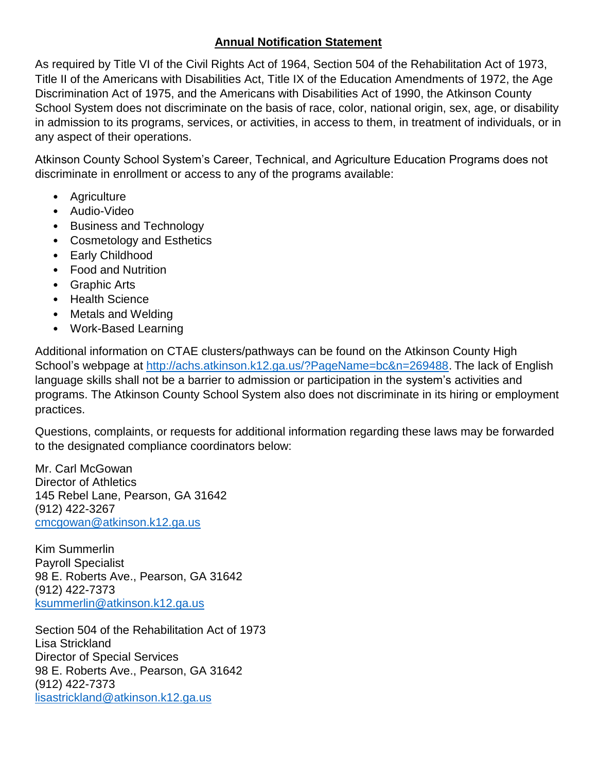## **Annual Notification Statement**

As required by Title VI of the Civil Rights Act of 1964, Section 504 of the Rehabilitation Act of 1973, Title II of the Americans with Disabilities Act, Title IX of the Education Amendments of 1972, the Age Discrimination Act of 1975, and the Americans with Disabilities Act of 1990, the Atkinson County School System does not discriminate on the basis of race, color, national origin, sex, age, or disability in admission to its programs, services, or activities, in access to them, in treatment of individuals, or in any aspect of their operations.

Atkinson County School System's Career, Technical, and Agriculture Education Programs does not discriminate in enrollment or access to any of the programs available:

- Agriculture
- Audio-Video
- Business and Technology
- Cosmetology and Esthetics
- Early Childhood
- Food and Nutrition
- Graphic Arts
- Health Science
- Metals and Welding
- Work-Based Learning

Additional information on CTAE clusters/pathways can be found on the Atkinson County High School's webpage at [http://achs.atkinson.k12.ga.us/?PageName=bc&n=269488.](http://achs.atkinson.k12.ga.us/?PageName=bc&n=269488) The lack of English language skills shall not be a barrier to admission or participation in the system's activities and programs. The Atkinson County School System also does not discriminate in its hiring or employment practices.

Questions, complaints, or requests for additional information regarding these laws may be forwarded to the designated compliance coordinators below:

Mr. Carl McGowan Director of Athletics 145 Rebel Lane, Pearson, GA 31642 (912) 422-3267 [cmcgowan@atkinson.k12.ga.us](mailto:cmcgowan@atkinson.k12.ga.us)

Kim Summerlin Payroll Specialist 98 E. Roberts Ave., Pearson, GA 31642 (912) 422-7373 [ksummerlin@atkinson.k12.ga.us](mailto:ksummerlin@atkinson.k12.ga.us)

Section 504 of the Rehabilitation Act of 1973 Lisa Strickland Director of Special Services 98 E. Roberts Ave., Pearson, GA 31642 (912) 422-7373 [lisastrickland@atkinson.k12.ga.us](mailto:steve.mcdaniel@hallco.org)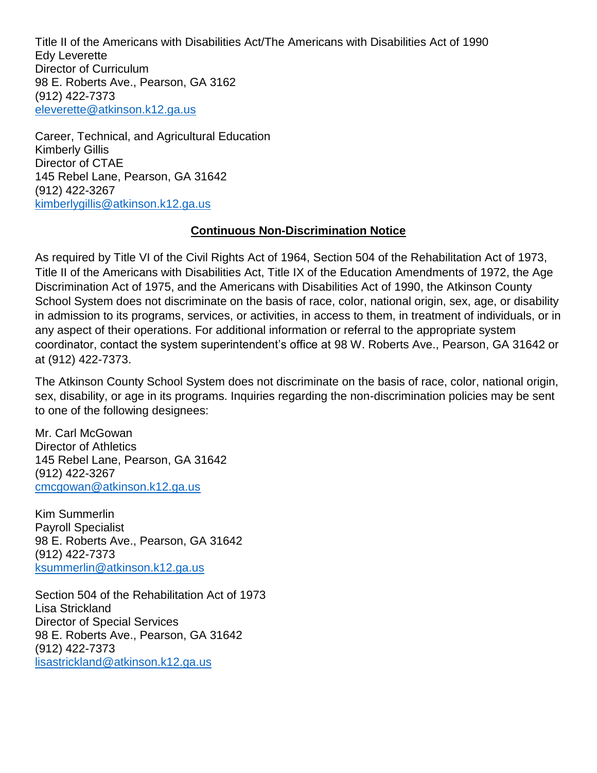Title II of the Americans with Disabilities Act/The Americans with Disabilities Act of 1990 Edy Leverette Director of Curriculum 98 E. Roberts Ave., Pearson, GA 3162 (912) 422-7373 [eleverette@atkinson.k12.ga.us](mailto:karla.swafford@hallco.org)

Career, Technical, and Agricultural Education Kimberly Gillis Director of CTAE 145 Rebel Lane, Pearson, GA 31642 (912) 422-3267 [kimberlygillis@atkinson.k12.ga.us](mailto:rhonda.samples@hallco.org)

## **Continuous Non-Discrimination Notice**

As required by Title VI of the Civil Rights Act of 1964, Section 504 of the Rehabilitation Act of 1973, Title II of the Americans with Disabilities Act, Title IX of the Education Amendments of 1972, the Age Discrimination Act of 1975, and the Americans with Disabilities Act of 1990, the Atkinson County School System does not discriminate on the basis of race, color, national origin, sex, age, or disability in admission to its programs, services, or activities, in access to them, in treatment of individuals, or in any aspect of their operations. For additional information or referral to the appropriate system coordinator, contact the system superintendent's office at 98 W. Roberts Ave., Pearson, GA 31642 or at (912) 422-7373.

The Atkinson County School System does not discriminate on the basis of race, color, national origin, sex, disability, or age in its programs. Inquiries regarding the non-discrimination policies may be sent to one of the following designees:

Mr. Carl McGowan Director of Athletics 145 Rebel Lane, Pearson, GA 31642 (912) 422-3267 [cmcgowan@atkinson.k12.ga.us](mailto:cmcgowan@atkinson.k12.ga.us)

Kim Summerlin Payroll Specialist 98 E. Roberts Ave., Pearson, GA 31642 (912) 422-7373 [ksummerlin@atkinson.k12.ga.us](mailto:ksummerlin@atkinson.k12.ga.us)

Section 504 of the Rehabilitation Act of 1973 Lisa Strickland Director of Special Services 98 E. Roberts Ave., Pearson, GA 31642 (912) 422-7373 [lisastrickland@atkinson.k12.ga.us](mailto:steve.mcdaniel@hallco.org)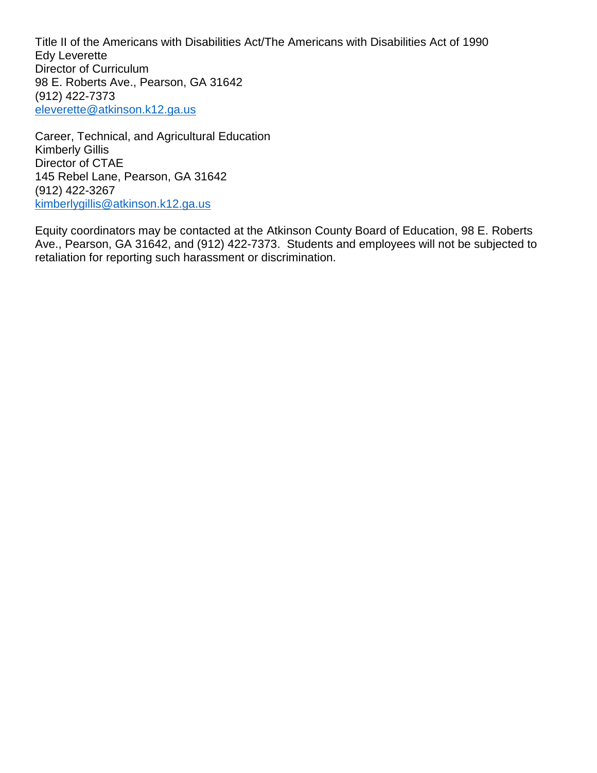Title II of the Americans with Disabilities Act/The Americans with Disabilities Act of 1990 Edy Leverette Director of Curriculum 98 E. Roberts Ave., Pearson, GA 31642 (912) 422-7373 [eleverette@atkinson.k12.ga.us](mailto:karla.swafford@hallco.org)

Career, Technical, and Agricultural Education Kimberly Gillis Director of CTAE 145 Rebel Lane, Pearson, GA 31642 (912) 422-3267 [kimberlygillis@atkinson.k12.ga.us](mailto:rhonda.samples@hallco.org)

Equity coordinators may be contacted at the Atkinson County Board of Education, 98 E. Roberts Ave., Pearson, GA 31642, and (912) 422-7373. Students and employees will not be subjected to retaliation for reporting such harassment or discrimination.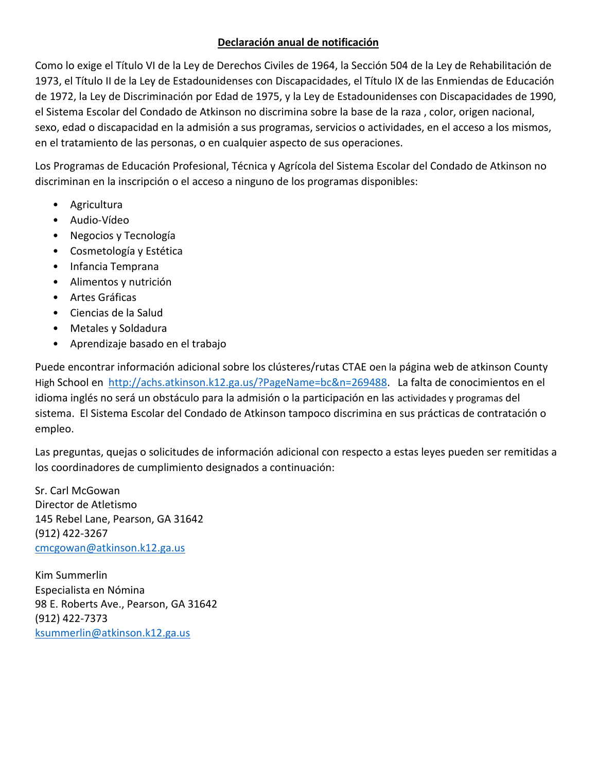## **Declaración anual de notificación**

Como lo exige el Título VI de la Ley de Derechos Civiles de 1964, la Sección 504 de la Ley de Rehabilitación de 1973, el Título II de la Ley de Estadounidenses con Discapacidades, el Título IX de las Enmiendas de Educación de 1972, la Ley de Discriminación por Edad de 1975, y la Ley de Estadounidenses con Discapacidades de 1990, el Sistema Escolar del Condado de Atkinson no discrimina sobre la base de la raza , color, origen nacional, sexo, edad o discapacidad en la admisión a sus programas, servicios o actividades, en el acceso a los mismos, en el tratamiento de las personas, o en cualquier aspecto de sus operaciones.

Los Programas de Educación Profesional, Técnica y Agrícola del Sistema Escolar del Condado de Atkinson no discriminan en la inscripción o el acceso a ninguno de los programas disponibles:

- Agricultura
- Audio-Vídeo
- Negocios y Tecnología
- Cosmetología y Estética
- Infancia Temprana
- Alimentos y nutrición
- Artes Gráficas
- Ciencias de la Salud
- Metales y Soldadura
- Aprendizaje basado en el trabajo

Puede encontrar información adicional sobre los clústeres/rutas CTAE oen la página web de atkinson County High School en [http://achs.atkinson.k12.ga.us/?PageName=bc&n=269488.](http://achs.atkinson.k12.ga.us/?PageName=bc&n=269488) La falta de conocimientos en el idioma inglés no será un obstáculo para la admisión o la participación en las actividades y programas del sistema. El Sistema Escolar del Condado de Atkinson tampoco discrimina en sus prácticas de contratación o empleo.

Las preguntas, quejas o solicitudes de información adicional con respecto a estas leyes pueden ser remitidas a los coordinadores de cumplimiento designados a continuación:

Sr. Carl McGowan Director de Atletismo 145 Rebel Lane, Pearson, GA 31642 (912) 422-3267 [cmcgowan@atkinson.k12.ga.us](mailto:cmcgowan@atkinson.k12.ga.us)

Kim Summerlin Especialista en Nómina 98 E. Roberts Ave., Pearson, GA 31642 (912) 422-7373 [ksummerlin@atkinson.k12.ga.us](mailto:ksummerlin@atkinson.k12.ga.us)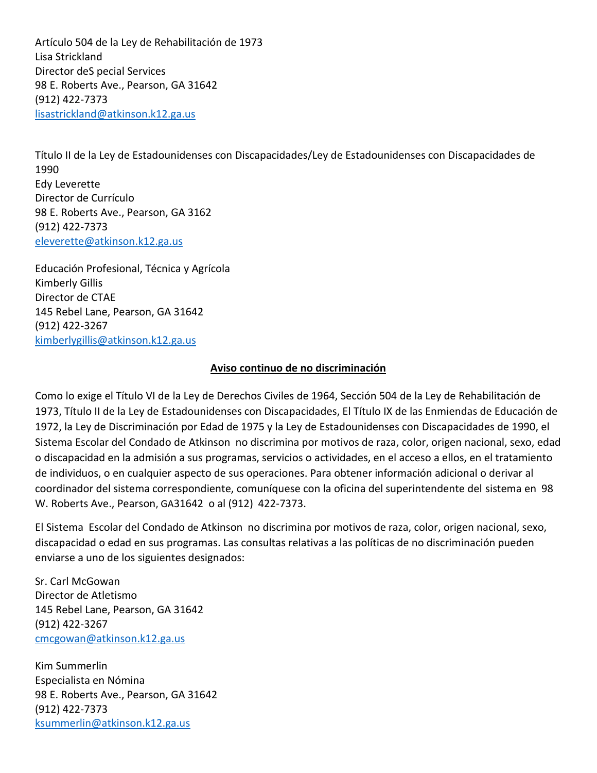Artículo 504 de la Ley de Rehabilitación de 1973 Lisa Strickland Director deS pecial Services 98 E. Roberts Ave., Pearson, GA 31642 (912) 422-7373 [lisastrickland@atkinson.k12.ga.us](mailto:steve.mcdaniel@hallco.org)

Título II de la Ley de Estadounidenses con Discapacidades/Ley de Estadounidenses con Discapacidades de 1990 Edy Leverette Director de Currículo 98 E. Roberts Ave., Pearson, GA 3162 (912) 422-7373 [eleverette@atkinson.k12.ga.us](mailto:karla.swafford@hallco.org)

Educación Profesional, Técnica y Agrícola Kimberly Gillis Director de CTAE 145 Rebel Lane, Pearson, GA 31642 (912) 422-3267 [kimberlygillis@atkinson.k12.ga.us](mailto:rhonda.samples@hallco.org)

## **Aviso continuo de no discriminación**

Como lo exige el Título VI de la Ley de Derechos Civiles de 1964, Sección 504 de la Ley de Rehabilitación de 1973, Título II de la Ley de Estadounidenses con Discapacidades, El Título IX de las Enmiendas de Educación de 1972, la Ley de Discriminación por Edad de 1975 y la Ley de Estadounidenses con Discapacidades de 1990, el Sistema Escolar del Condado de Atkinson no discrimina por motivos de raza, color, origen nacional, sexo, edad o discapacidad en la admisión a sus programas, servicios o actividades, en el acceso a ellos, en el tratamiento de individuos, o en cualquier aspecto de sus operaciones. Para obtener información adicional o derivar al coordinador del sistema correspondiente, comuníquese con la oficina del superintendente del sistema en 98 W. Roberts Ave., Pearson, GA31642 o al (912) 422-7373.

El Sistema Escolar del Condado de Atkinson no discrimina por motivos de raza, color, origen nacional, sexo, discapacidad o edad en sus programas. Las consultas relativas a las políticas de no discriminación pueden enviarse a uno de los siguientes designados:

Sr. Carl McGowan Director de Atletismo 145 Rebel Lane, Pearson, GA 31642 (912) 422-3267 [cmcgowan@atkinson.k12.ga.us](mailto:cmcgowan@atkinson.k12.ga.us)

Kim Summerlin Especialista en Nómina 98 E. Roberts Ave., Pearson, GA 31642 (912) 422-7373 [ksummerlin@atkinson.k12.ga.us](mailto:ksummerlin@atkinson.k12.ga.us)